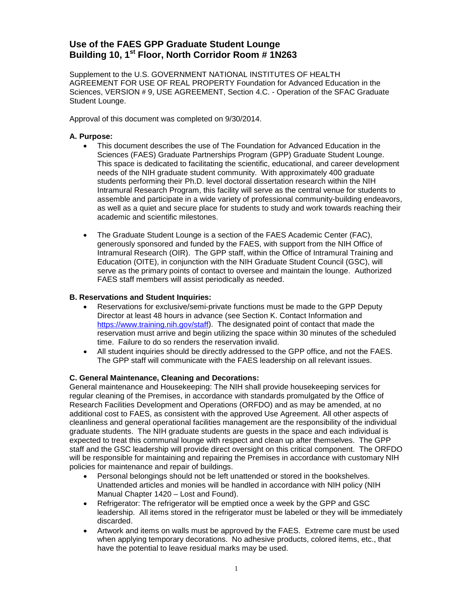# **Use of the FAES GPP Graduate Student Lounge Building 10, 1st Floor, North Corridor Room # 1N263**

Supplement to the U.S. GOVERNMENT NATIONAL INSTITUTES OF HEALTH AGREEMENT FOR USE OF REAL PROPERTY Foundation for Advanced Education in the Sciences, VERSION # 9, USE AGREEMENT, Section 4.C. - Operation of the SFAC Graduate Student Lounge.

Approval of this document was completed on 9/30/2014.

#### **A. Purpose:**

- This document describes the use of The Foundation for Advanced Education in the Sciences (FAES) Graduate Partnerships Program (GPP) Graduate Student Lounge. This space is dedicated to facilitating the scientific, educational, and career development needs of the NIH graduate student community. With approximately 400 graduate students performing their Ph.D. level doctoral dissertation research within the NIH Intramural Research Program, this facility will serve as the central venue for students to assemble and participate in a wide variety of professional community-building endeavors, as well as a quiet and secure place for students to study and work towards reaching their academic and scientific milestones.
- The Graduate Student Lounge is a section of the FAES Academic Center (FAC), generously sponsored and funded by the FAES, with support from the NIH Office of Intramural Research (OIR). The GPP staff, within the Office of Intramural Training and Education (OITE), in conjunction with the NIH Graduate Student Council (GSC), will serve as the primary points of contact to oversee and maintain the lounge. Authorized FAES staff members will assist periodically as needed.

#### **B. Reservations and Student Inquiries:**

- Reservations for exclusive/semi-private functions must be made to the GPP Deputy Director at least 48 hours in advance (see Section K. Contact Information and [https://www.training.nih.gov/staff\)](https://www.training.nih.gov/staff). The designated point of contact that made the reservation must arrive and begin utilizing the space within 30 minutes of the scheduled time. Failure to do so renders the reservation invalid.
- All student inquiries should be directly addressed to the GPP office, and not the FAES. The GPP staff will communicate with the FAES leadership on all relevant issues.

#### **C. General Maintenance, Cleaning and Decorations:**

General maintenance and Housekeeping: The NIH shall provide housekeeping services for regular cleaning of the Premises, in accordance with standards promulgated by the Office of Research Facilities Development and Operations (ORFDO) and as may be amended, at no additional cost to FAES, as consistent with the approved Use Agreement. All other aspects of cleanliness and general operational facilities management are the responsibility of the individual graduate students. The NIH graduate students are guests in the space and each individual is expected to treat this communal lounge with respect and clean up after themselves. The GPP staff and the GSC leadership will provide direct oversight on this critical component. The ORFDO will be responsible for maintaining and repairing the Premises in accordance with customary NIH policies for maintenance and repair of buildings.

- Personal belongings should not be left unattended or stored in the bookshelves. Unattended articles and monies will be handled in accordance with NIH policy (NIH Manual Chapter 1420 – Lost and Found).
- Refrigerator: The refrigerator will be emptied once a week by the GPP and GSC leadership. All items stored in the refrigerator must be labeled or they will be immediately discarded.
- Artwork and items on walls must be approved by the FAES. Extreme care must be used when applying temporary decorations. No adhesive products, colored items, etc., that have the potential to leave residual marks may be used.